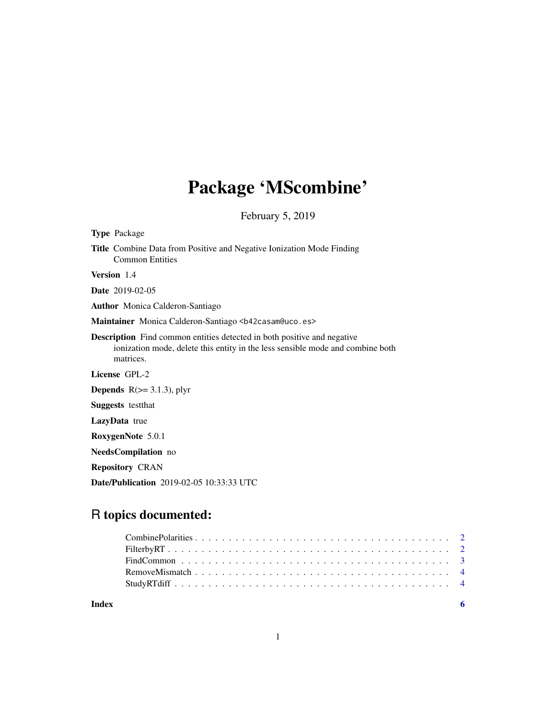# Package 'MScombine'

February 5, 2019

| <b>Type Package</b>                                                                                                                                                           |
|-------------------------------------------------------------------------------------------------------------------------------------------------------------------------------|
| <b>Title</b> Combine Data from Positive and Negative Ionization Mode Finding<br><b>Common Entities</b>                                                                        |
| Version 1.4                                                                                                                                                                   |
| <b>Date</b> 2019-02-05                                                                                                                                                        |
| <b>Author</b> Monica Calderon-Santiago                                                                                                                                        |
| Maintainer Monica Calderon-Santiago <b42casam@uco.es></b42casam@uco.es>                                                                                                       |
| <b>Description</b> Find common entities detected in both positive and negative<br>ionization mode, delete this entity in the less sensible mode and combine both<br>matrices. |
| License GPL-2                                                                                                                                                                 |
| <b>Depends</b> $R$ ( $> = 3.1.3$ ), plyr                                                                                                                                      |
| <b>Suggests</b> testthat                                                                                                                                                      |
| LazyData true                                                                                                                                                                 |
| RoxygenNote 5.0.1                                                                                                                                                             |
| NeedsCompilation no                                                                                                                                                           |
| <b>Repository CRAN</b>                                                                                                                                                        |
| <b>Date/Publication</b> 2019-02-05 10:33:33 UTC                                                                                                                               |

# R topics documented: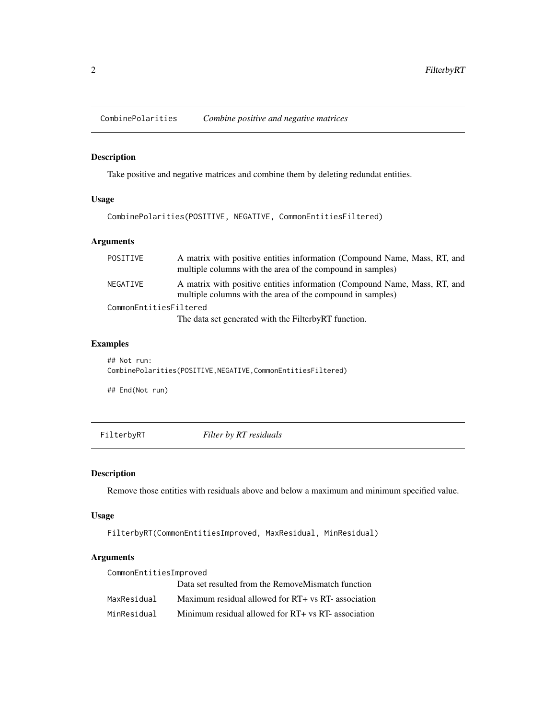<span id="page-1-0"></span>CombinePolarities *Combine positive and negative matrices*

# Description

Take positive and negative matrices and combine them by deleting redundat entities.

# Usage

CombinePolarities(POSITIVE, NEGATIVE, CommonEntitiesFiltered)

#### Arguments

| POSITIVE               | A matrix with positive entities information (Compound Name, Mass, RT, and<br>multiple columns with the area of the compound in samples) |
|------------------------|-----------------------------------------------------------------------------------------------------------------------------------------|
| NEGATIVE               | A matrix with positive entities information (Compound Name, Mass, RT, and<br>multiple columns with the area of the compound in samples) |
| CommonEntitiesFiltered | The data set generated with the Filterby RT function.                                                                                   |
|                        |                                                                                                                                         |

# Examples

## Not run: CombinePolarities(POSITIVE,NEGATIVE,CommonEntitiesFiltered)

## End(Not run)

FilterbyRT *Filter by RT residuals*

# Description

Remove those entities with residuals above and below a maximum and minimum specified value.

#### Usage

FilterbyRT(CommonEntitiesImproved, MaxResidual, MinResidual)

#### Arguments

| CommonEntitiesImproved |                                                     |
|------------------------|-----------------------------------------------------|
|                        | Data set resulted from the RemoveMismatch function  |
| MaxResidual            | Maximum residual allowed for RT+ vs RT- association |
| MinResidual            | Minimum residual allowed for RT+ vs RT- association |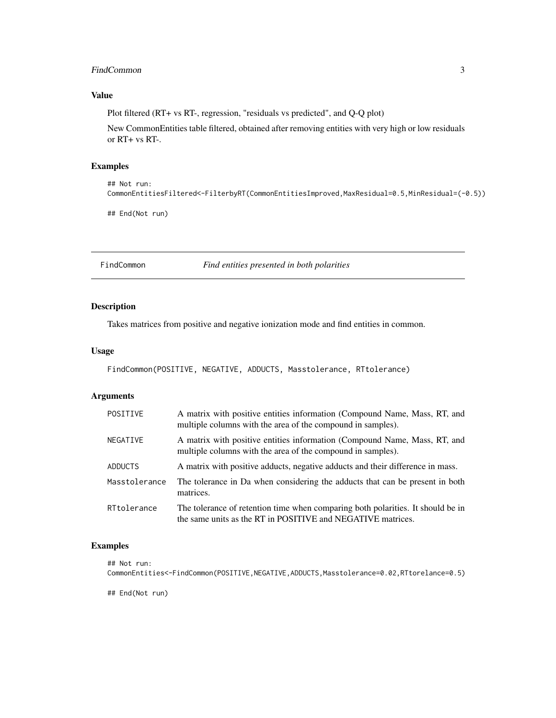#### <span id="page-2-0"></span>FindCommon 3

# Value

Plot filtered (RT+ vs RT-, regression, "residuals vs predicted", and Q-Q plot)

New CommonEntities table filtered, obtained after removing entities with very high or low residuals or RT+ vs RT-.

#### Examples

```
## Not run:
CommonEntitiesFiltered<-FilterbyRT(CommonEntitiesImproved,MaxResidual=0.5,MinResidual=(-0.5))
```
## End(Not run)

FindCommon *Find entities presented in both polarities*

#### Description

Takes matrices from positive and negative ionization mode and find entities in common.

#### Usage

```
FindCommon(POSITIVE, NEGATIVE, ADDUCTS, Masstolerance, RTtolerance)
```
## Arguments

| POSITIVE      | A matrix with positive entities information (Compound Name, Mass, RT, and<br>multiple columns with the area of the compound in samples).       |
|---------------|------------------------------------------------------------------------------------------------------------------------------------------------|
| NEGATIVE      | A matrix with positive entities information (Compound Name, Mass, RT, and<br>multiple columns with the area of the compound in samples).       |
| ADDUCTS       | A matrix with positive adducts, negative adducts and their difference in mass.                                                                 |
| Masstolerance | The tolerance in Da when considering the adducts that can be present in both<br>matrices.                                                      |
| RTtolerance   | The tolerance of retention time when comparing both polarities. It should be in<br>the same units as the RT in POSITIVE and NEGATIVE matrices. |

#### Examples

```
## Not run:
CommonEntities<-FindCommon(POSITIVE,NEGATIVE,ADDUCTS,Masstolerance=0.02,RTtorelance=0.5)
```
## End(Not run)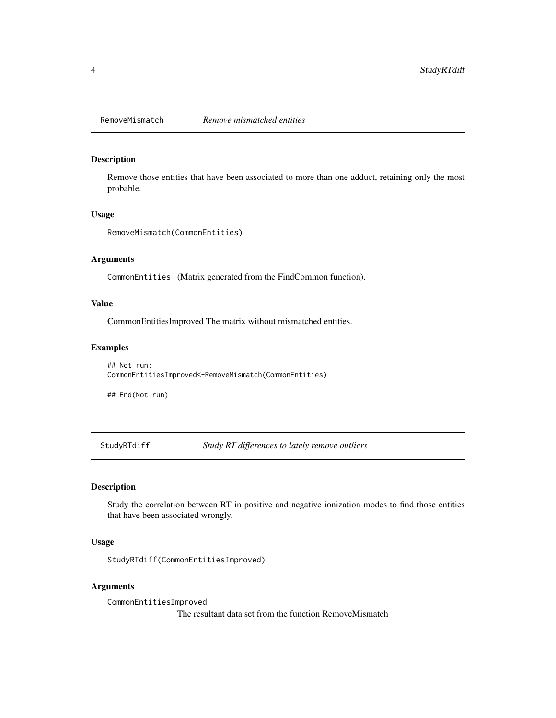<span id="page-3-0"></span>

#### Description

Remove those entities that have been associated to more than one adduct, retaining only the most probable.

#### Usage

```
RemoveMismatch(CommonEntities)
```
# Arguments

CommonEntities (Matrix generated from the FindCommon function).

#### Value

CommonEntitiesImproved The matrix without mismatched entities.

#### Examples

## Not run: CommonEntitiesImproved<-RemoveMismatch(CommonEntities)

## End(Not run)

StudyRTdiff *Study RT differences to lately remove outliers*

# Description

Study the correlation between RT in positive and negative ionization modes to find those entities that have been associated wrongly.

#### Usage

StudyRTdiff(CommonEntitiesImproved)

#### Arguments

CommonEntitiesImproved The resultant data set from the function RemoveMismatch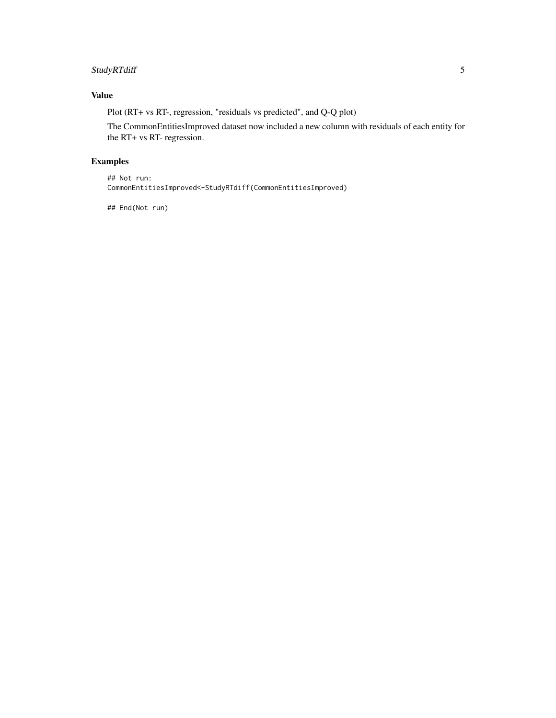# StudyRTdiff 5

# Value

Plot (RT+ vs RT-, regression, "residuals vs predicted", and Q-Q plot)

The CommonEntitiesImproved dataset now included a new column with residuals of each entity for the RT+ vs RT- regression.

# Examples

## Not run: CommonEntitiesImproved<-StudyRTdiff(CommonEntitiesImproved)

## End(Not run)